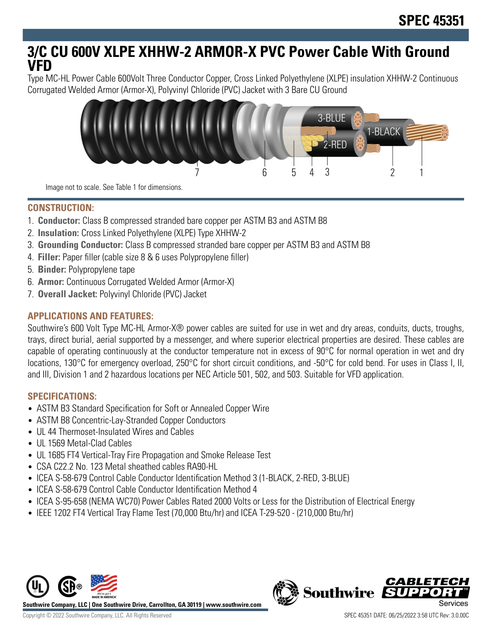# **3/C CU 600V XLPE XHHW-2 ARMOR-X PVC Power Cable With Ground VFD**

Type MC-HL Power Cable 600Volt Three Conductor Copper, Cross Linked Polyethylene (XLPE) insulation XHHW-2 Continuous Corrugated Welded Armor (Armor-X), Polyvinyl Chloride (PVC) Jacket with 3 Bare CU Ground



Image not to scale. See Table 1 for dimensions.

# **CONSTRUCTION:**

- 1. **Conductor:** Class B compressed stranded bare copper per ASTM B3 and ASTM B8
- 2. **Insulation:** Cross Linked Polyethylene (XLPE) Type XHHW-2
- 3. **Grounding Conductor:** Class B compressed stranded bare copper per ASTM B3 and ASTM B8
- 4. **Filler:** Paper filler (cable size 8 & 6 uses Polypropylene filler)
- 5. **Binder:** Polypropylene tape
- 6. **Armor:** Continuous Corrugated Welded Armor (Armor-X)
- 7. **Overall Jacket:** Polyvinyl Chloride (PVC) Jacket

# **APPLICATIONS AND FEATURES:**

Southwire's 600 Volt Type MC-HL Armor-X® power cables are suited for use in wet and dry areas, conduits, ducts, troughs, trays, direct burial, aerial supported by a messenger, and where superior electrical properties are desired. These cables are capable of operating continuously at the conductor temperature not in excess of 90°C for normal operation in wet and dry locations, 130°C for emergency overload, 250°C for short circuit conditions, and -50°C for cold bend. For uses in Class I, II, and III, Division 1 and 2 hazardous locations per NEC Article 501, 502, and 503. Suitable for VFD application.

## **SPECIFICATIONS:**

- ASTM B3 Standard Specification for Soft or Annealed Copper Wire
- ASTM B8 Concentric-Lay-Stranded Copper Conductors
- UL 44 Thermoset-Insulated Wires and Cables
- UL 1569 Metal-Clad Cables
- UL 1685 FT4 Vertical-Tray Fire Propagation and Smoke Release Test
- CSA C22.2 No. 123 Metal sheathed cables RA90-HL
- ICEA S-58-679 Control Cable Conductor Identification Method 3 (1-BLACK, 2-RED, 3-BLUE)
- ICEA S-58-679 Control Cable Conductor Identification Method 4
- ICEA S-95-658 (NEMA WC70) Power Cables Rated 2000 Volts or Less for the Distribution of Electrical Energy
- IEEE 1202 FT4 Vertical Tray Flame Test (70,000 Btu/hr) and ICEA T-29-520 (210,000 Btu/hr)



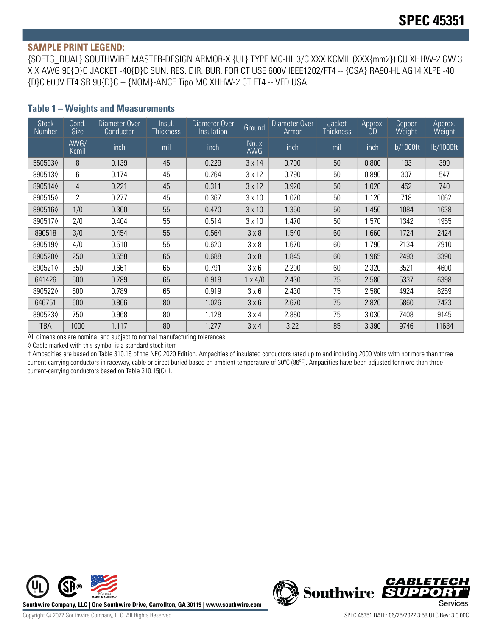#### **SAMPLE PRINT LEGEND:**

{SQFTG\_DUAL} SOUTHWIRE MASTER-DESIGN ARMOR-X {UL} TYPE MC-HL 3/C XXX KCMIL (XXX{mm2}) CU XHHW-2 GW 3 X X AWG 90{D}C JACKET -40{D}C SUN. RES. DIR. BUR. FOR CT USE 600V IEEE1202/FT4 -- {CSA} RA90-HL AG14 XLPE -40 {D}C 600V FT4 SR 90{D}C -- {NOM}-ANCE Tipo MC XHHW-2 CT FT4 -- VFD USA

#### **Table 1 – Weights and Measurements**

| <b>Stock</b><br>Number | Cond.<br><b>Size</b> | Diameter Over<br>Conductor | lnsul.<br><b>Thickness</b> | Diameter Over<br>Insulation | Ground              | Diameter Over<br>Armor | Jacket<br><b>Thickness</b> | Approx.<br>OD | Copper<br>Weight | Approx.<br>Weight |
|------------------------|----------------------|----------------------------|----------------------------|-----------------------------|---------------------|------------------------|----------------------------|---------------|------------------|-------------------|
|                        | AWG/<br>Kcmil        | inch                       | mil                        | inch                        | No. x<br><b>AWG</b> | inch                   | mil                        | inch          | lb/1000ft        | lb/1000ft         |
| 5505930                | 8                    | 0.139                      | 45                         | 0.229                       | $3 \times 14$       | 0.700                  | 50                         | 0.800         | 193              | 399               |
| 8905130                | 6                    | 0.174                      | 45                         | 0.264                       | $3 \times 12$       | 0.790                  | 50                         | 0.890         | 307              | 547               |
| 8905140                | $\overline{4}$       | 0.221                      | 45                         | 0.311                       | $3 \times 12$       | 0.920                  | 50                         | 1.020         | 452              | 740               |
| 8905150                | $\overline{2}$       | 0.277                      | 45                         | 0.367                       | $3 \times 10$       | 1.020                  | 50                         | 1.120         | 718              | 1062              |
| 8905160                | 1/0                  | 0.360                      | 55                         | 0.470                       | $3 \times 10$       | 1.350                  | 50                         | 1.450         | 1084             | 1638              |
| 8905170                | 2/0                  | 0.404                      | 55                         | 0.514                       | $3 \times 10$       | 1.470                  | 50                         | 1.570         | 1342             | 1955              |
| 890518                 | 3/0                  | 0.454                      | 55                         | 0.564                       | 3 × 8               | 1.540                  | 60                         | 1.660         | 1724             | 2424              |
| 8905190                | 4/0                  | 0.510                      | 55                         | 0.620                       | 3 × 8               | 1.670                  | 60                         | .790          | 2134             | 2910              |
| 8905200                | 250                  | 0.558                      | 65                         | 0.688                       | 3 × 8               | 1.845                  | 60                         | 1.965         | 2493             | 3390              |
| 8905210                | 350                  | 0.661                      | 65                         | 0.791                       | 3 × 6               | 2.200                  | 60                         | 2.320         | 3521             | 4600              |
| 641426                 | 500                  | 0.789                      | 65                         | 0.919                       | $1 \times 4/0$      | 2.430                  | 75                         | 2.580         | 5337             | 6398              |
| 8905220                | 500                  | 0.789                      | 65                         | 0.919                       | 3 × 6               | 2.430                  | 75                         | 2.580         | 4924             | 6259              |
| 646751                 | 600                  | 0.866                      | 80                         | 1.026                       | 3 × 6               | 2.670                  | 75                         | 2.820         | 5860             | 7423              |
| 8905230                | 750                  | 0.968                      | 80                         | 1.128                       | 3x4                 | 2.880                  | 75                         | 3.030         | 7408             | 9145              |
| TBA                    | 1000                 | 1.117                      | 80                         | 1.277                       | 3x4                 | 3.22                   | 85                         | 3.390         | 9746             | 11684             |

All dimensions are nominal and subject to normal manufacturing tolerances

◊ Cable marked with this symbol is a standard stock item

† Ampacities are based on Table 310.16 of the NEC 2020 Edition. Ampacities of insulated conductors rated up to and including 2000 Volts with not more than three current-carrying conductors in raceway, cable or direct buried based on ambient temperature of 30°C (86°F). Ampacities have been adjusted for more than three current-carrying conductors based on Table 310.15(C) 1.